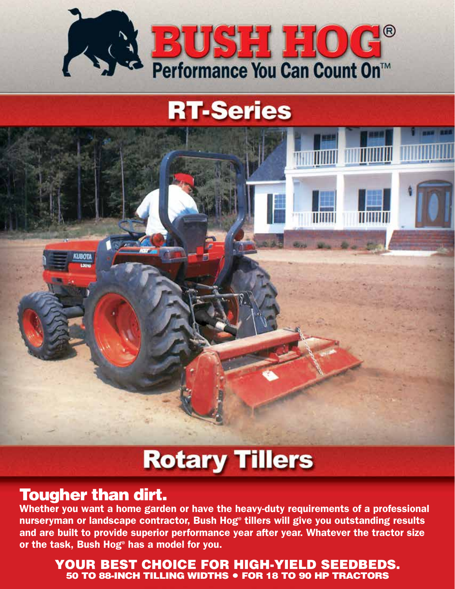

## **RT-Series**



# **Rotary Tillers**

## Tougher than dirt.

Whether you want a home garden or have the heavy-duty requirements of a professional nurseryman or landscape contractor, Bush Hog® tillers will give you outstanding results and are built to provide superior performance year after year. Whatever the tractor size or the task, Bush Hog® has a model for you.

### YOUR BEST CHOICE FOR HIGH-YIELD SEEDBEDS. 50 TO 88-INCH TILLING WIDTHS • FOR 18 TO 90 HP TRACTORS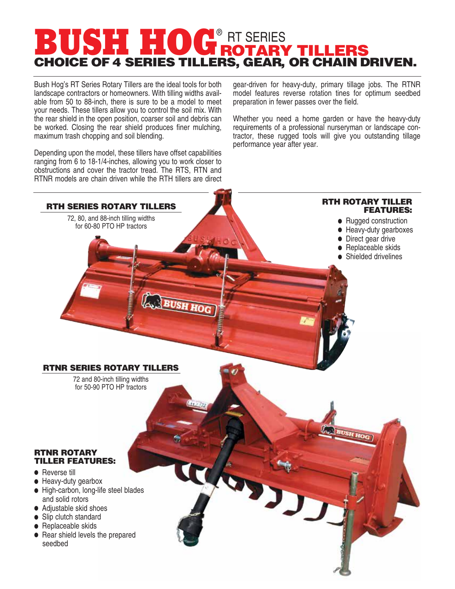## **BUSH HUGROTARY TILLERS** CHOICE OF 4 SERIES TILLERS, GEAR, OR CHAIN DRIVEN. **BUSH HOG® RT SERIES**

Bush Hog's RT Series Rotary Tillers are the ideal tools for both landscape contractors or homeowners. With tilling widths available from 50 to 88-inch, there is sure to be a model to meet your needs. These tillers allow you to control the soil mix. With the rear shield in the open position, coarser soil and debris can be worked. Closing the rear shield produces finer mulching, maximum trash chopping and soil blending.

Depending upon the model, these tillers have offset capabilities ranging from 6 to 18-1/4-inches, allowing you to work closer to obstructions and cover the tractor tread. The RTS, RTN and RTNR models are chain driven while the RTH tillers are direct

gear-driven for heavy-duty, primary tillage jobs. The RTNR model features reverse rotation tines for optimum seedbed preparation in fewer passes over the field.

Whether you need a home garden or have the heavy-duty requirements of a professional nurseryman or landscape contractor, these rugged tools will give you outstanding tillage performance year after year.

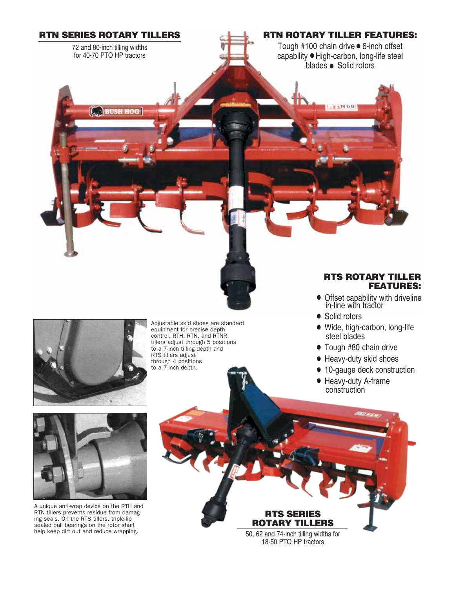

72 and 80-inch tilling widths for 40-70 PTO HP tractors

**BUSH HOG** 

### RTN ROTARY TILLER FEATURES:

Tough #100 chain drive • 6-inch offset capability • High-carbon, long-life steel blades • Solid rotors

**V 1N 60** 



Adjustable skid shoes are standard equipment for precise depth control. RTH, RTN, and RTNR tillers adjust through 5 positions to a 7-inch tilling depth and RTS tillers adjust through 4 positions to a 7-inch depth.

#### RTS ROTARY TILLER FEATURES:

- Offset capability with driveline in-line with tractor
- Solid rotors
- Wide, high-carbon, long-life steel blades
- Tough #80 chain drive
- Heavy-duty skid shoes
- 10-gauge deck construction
- Heavy-duty A-frame construction



A unique anti-wrap device on the RTH and RTN tillers prevents residue from damaging seals. On the RTS tillers, triple-lip sealed ball bearings on the rotor shaft help keep dirt out and reduce wrapping.

RTS SERIES ROTARY TILLERS 50, 62 and 74-inch tilling widths for 18-50 PTO HP tractors